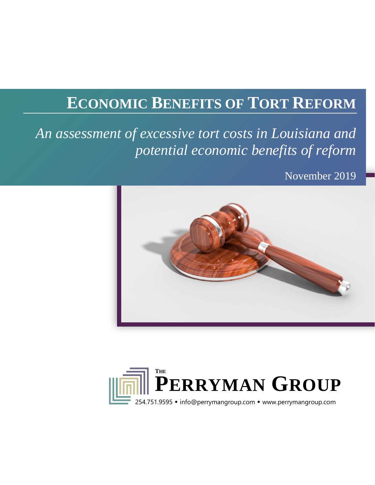# **ECONOMIC BENEFITS OF TORT REFORM**

*An assessment of excessive tort costs in Louisiana and potential economic benefits of reform*

November 2019



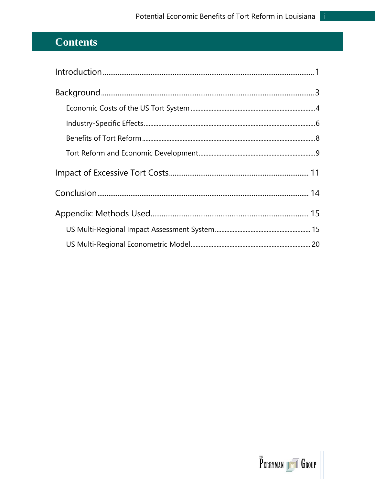## **Contents**

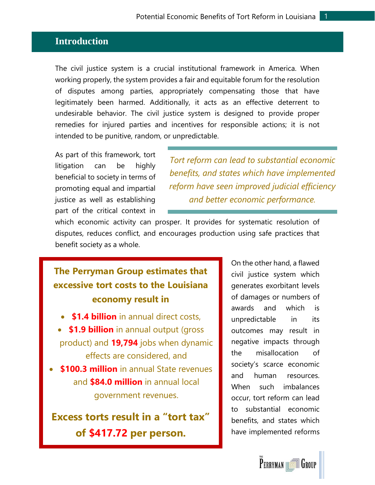#### <span id="page-2-0"></span>**Introduction**

The civil justice system is a crucial institutional framework in America. When working properly, the system provides a fair and equitable forum for the resolution of disputes among parties, appropriately compensating those that have legitimately been harmed. Additionally, it acts as an effective deterrent to undesirable behavior. The civil justice system is designed to provide proper remedies for injured parties and incentives for responsible actions; it is not intended to be punitive, random, or unpredictable.

As part of this framework, tort litigation can be highly beneficial to society in terms of promoting equal and impartial justice as well as establishing part of the critical context in

*Tort reform can lead to substantial economic benefits, and states which have implemented reform have seen improved judicial efficiency and better economic performance.*

which economic activity can prosper. It provides for systematic resolution of disputes, reduces conflict, and encourages production using safe practices that benefit society as a whole.

## **The Perryman Group estimates that excessive tort costs to the Louisiana economy result in**

- **\$1.4 billion** in annual direct costs,
- **\$1.9 billion** in annual output (gross product) and **19,794** jobs when dynamic effects are considered, and
- **\$100.3 million** in annual State revenues and **\$84.0 million** in annual local government revenues.

**Excess torts result in a "tort tax" of \$417.72 per person.**

On the other hand, a flawed civil justice system which generates exorbitant levels of damages or numbers of awards and which is unpredictable in its outcomes may result in negative impacts through the misallocation of society's scarce economic and human resources. When such imbalances occur, tort reform can lead to substantial economic benefits, and states which have implemented reforms

**PERRYMAN ION GROUP**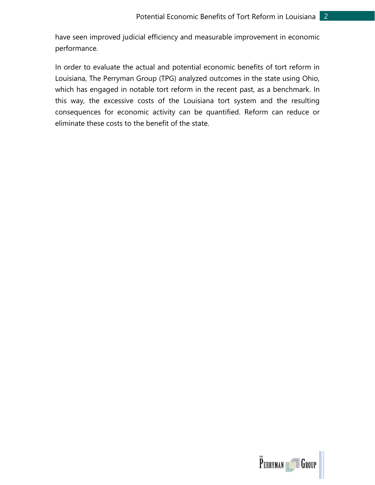have seen improved judicial efficiency and measurable improvement in economic performance.

In order to evaluate the actual and potential economic benefits of tort reform in Louisiana, The Perryman Group (TPG) analyzed outcomes in the state using Ohio, which has engaged in notable tort reform in the recent past, as a benchmark. In this way, the excessive costs of the Louisiana tort system and the resulting consequences for economic activity can be quantified. Reform can reduce or eliminate these costs to the benefit of the state.

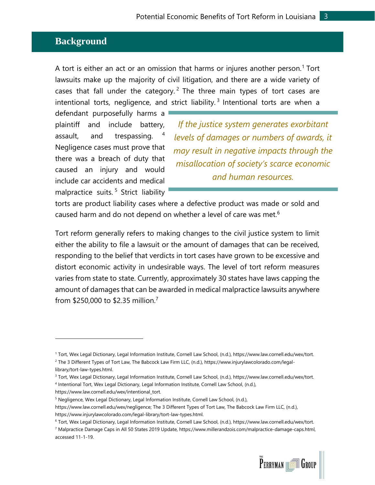#### <span id="page-4-0"></span>**Background**

A tort is either an act or an omission that harms or injures another person.<sup>1</sup> Tort lawsuits make up the majority of civil litigation, and there are a wide variety of cases that fall under the category.<sup>2</sup> The three main types of tort cases are intentional torts, negligence, and strict liability.<sup>3</sup> Intentional torts are when a

defendant purposefully harms a plaintiff and include battery, assault, and trespassing. <sup>4</sup> Negligence cases must prove that there was a breach of duty that caused an injury and would include car accidents and medical malpractice suits. <sup>5</sup> Strict liability

*If the justice system generates exorbitant levels of damages or numbers of awards, it may result in negative impacts through the misallocation of society's scarce economic and human resources.*

torts are product liability cases where a defective product was made or sold and caused harm and do not depend on whether a level of care was met.<sup>6</sup>

Tort reform generally refers to making changes to the civil justice system to limit either the ability to file a lawsuit or the amount of damages that can be received, responding to the belief that verdicts in tort cases have grown to be excessive and distort economic activity in undesirable ways. The level of tort reform measures varies from state to state. Currently, approximately 30 states have laws capping the amount of damages that can be awarded in medical malpractice lawsuits anywhere from  $$250,000$  to  $$2.35$  million.<sup>7</sup>

<sup>6</sup> Tort, Wex Legal Dictionary, Legal Information Institute, Cornell Law School, (n.d.), https://www.law.cornell.edu/wex/tort. <sup>7</sup> Malpractice Damage Caps in All 50 States 2019 Update, https://www.millerandzois.com/malpractice-damage-caps.html, accessed 11-1-19.



<sup>1</sup> Tort, Wex Legal Dictionary, Legal Information Institute, Cornell Law School, (n.d.), https://www.law.cornell.edu/wex/tort. <sup>2</sup> The 3 Different Types of Tort Law, The Babcock Law Firm LLC, (n.d.), https://www.injurylawcolorado.com/legal-

library/tort-law-types.html.

<sup>3</sup> Tort, Wex Legal Dictionary, Legal Information Institute, Cornell Law School, (n.d.), https://www.law.cornell.edu/wex/tort. 4 Intentional Tort, Wex Legal Dictionary, Legal Information Institute, Cornell Law School, (n.d.),

https://www.law.cornell.edu/wex/intentional\_tort.

<sup>&</sup>lt;sup>5</sup> Negligence, Wex Legal Dictionary, Legal Information Institute, Cornell Law School, (n.d.), https://www.law.cornell.edu/wex/negligence; The 3 Different Types of Tort Law, The Babcock Law Firm LLC, (n.d.), https://www.injurylawcolorado.com/legal-library/tort-law-types.html.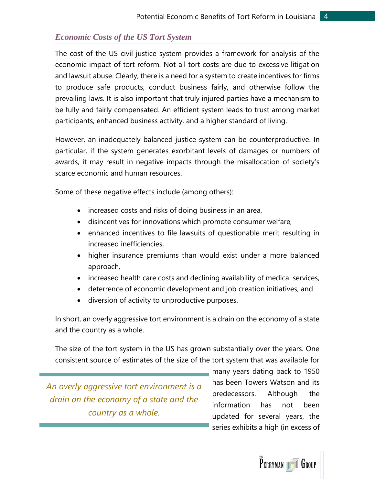#### <span id="page-5-0"></span>*Economic Costs of the US Tort System*

The cost of the US civil justice system provides a framework for analysis of the economic impact of tort reform. Not all tort costs are due to excessive litigation and lawsuit abuse. Clearly, there is a need for a system to create incentives for firms to produce safe products, conduct business fairly, and otherwise follow the prevailing laws. It is also important that truly injured parties have a mechanism to be fully and fairly compensated. An efficient system leads to trust among market participants, enhanced business activity, and a higher standard of living.

However, an inadequately balanced justice system can be counterproductive. In particular, if the system generates exorbitant levels of damages or numbers of awards, it may result in negative impacts through the misallocation of society's scarce economic and human resources.

Some of these negative effects include (among others):

- increased costs and risks of doing business in an area,
- disincentives for innovations which promote consumer welfare,
- enhanced incentives to file lawsuits of questionable merit resulting in increased inefficiencies,
- higher insurance premiums than would exist under a more balanced approach,
- increased health care costs and declining availability of medical services,
- deterrence of economic development and job creation initiatives, and
- diversion of activity to unproductive purposes.

In short, an overly aggressive tort environment is a drain on the economy of a state and the country as a whole.

The size of the tort system in the US has grown substantially over the years. One consistent source of estimates of the size of the tort system that was available for

*An overly aggressive tort environment is a drain on the economy of a state and the country as a whole.*

many years dating back to 1950 has been Towers Watson and its predecessors. Although the information has not been updated for several years, the series exhibits a high (in excess of

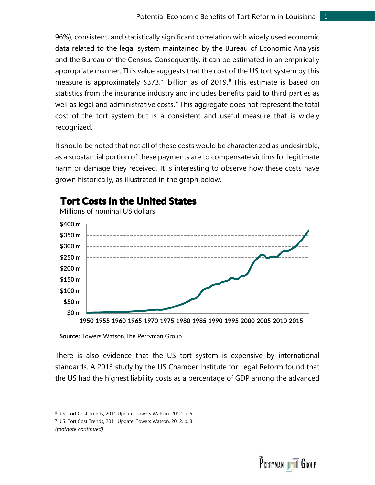96%), consistent, and statistically significant correlation with widely used economic data related to the legal system maintained by the Bureau of Economic Analysis and the Bureau of the Census. Consequently, it can be estimated in an empirically appropriate manner. This value suggests that the cost of the US tort system by this measure is approximately \$373.1 billion as of 2019. <sup>8</sup> This estimate is based on statistics from the insurance industry and includes benefits paid to third parties as well as legal and administrative costs. $9$  This aggregate does not represent the total cost of the tort system but is a consistent and useful measure that is widely recognized.

It should be noted that not all of these costs would be characterized as undesirable, as a substantial portion of these payments are to compensate victims for legitimate harm or damage they received. It is interesting to observe how these costs have grown historically, as illustrated in the graph below.



### Tort Costs in the United States

**Source:** Towers Watson,The Perryman Group

There is also evidence that the US tort system is expensive by international standards. A 2013 study by the US Chamber Institute for Legal Reform found that the US had the highest liability costs as a percentage of GDP among the advanced

*(footnote continued)*



<sup>8</sup> U.S. Tort Cost Trends, 2011 Update, Towers Watson, 2012, p. 5.

<sup>&</sup>lt;sup>9</sup> U.S. Tort Cost Trends, 2011 Update, Towers Watson, 2012, p. 8.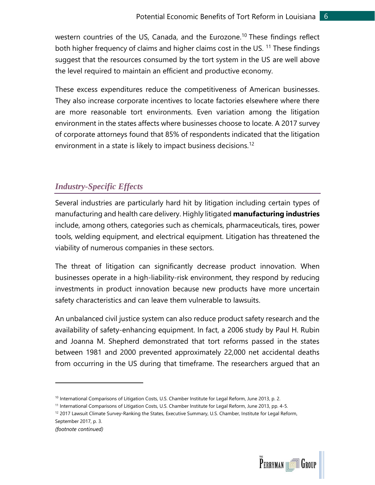western countries of the US, Canada, and the Eurozone.<sup>10</sup> These findings reflect both higher frequency of claims and higher claims cost in the US.<sup>11</sup> These findings suggest that the resources consumed by the tort system in the US are well above the level required to maintain an efficient and productive economy.

These excess expenditures reduce the competitiveness of American businesses. They also increase corporate incentives to locate factories elsewhere where there are more reasonable tort environments. Even variation among the litigation environment in the states affects where businesses choose to locate. A 2017 survey of corporate attorneys found that 85% of respondents indicated that the litigation environment in a state is likely to impact business decisions.<sup>12</sup>

#### <span id="page-7-0"></span>*Industry-Specific Effects*

Several industries are particularly hard hit by litigation including certain types of manufacturing and health care delivery. Highly litigated **manufacturing industries** include, among others, categories such as chemicals, pharmaceuticals, tires, power tools, welding equipment, and electrical equipment. Litigation has threatened the viability of numerous companies in these sectors.

The threat of litigation can significantly decrease product innovation. When businesses operate in a high-liability-risk environment, they respond by reducing investments in product innovation because new products have more uncertain safety characteristics and can leave them vulnerable to lawsuits.

An unbalanced civil justice system can also reduce product safety research and the availability of safety-enhancing equipment. In fact, a 2006 study by Paul H. Rubin and Joanna M. Shepherd demonstrated that tort reforms passed in the states between 1981 and 2000 prevented approximately 22,000 net accidental deaths from occurring in the US during that timeframe. The researchers argued that an



<sup>&</sup>lt;sup>10</sup> International Comparisons of Litigation Costs, U.S. Chamber Institute for Legal Reform, June 2013, p. 2.

<sup>11</sup> International Comparisons of Litigation Costs, U.S. Chamber Institute for Legal Reform, June 2013, pp. 4-5.

<sup>&</sup>lt;sup>12</sup> 2017 Lawsuit Climate Survey-Ranking the States, Executive Summary, U.S. Chamber, Institute for Legal Reform, September 2017, p. 3.

*<sup>(</sup>footnote continued)*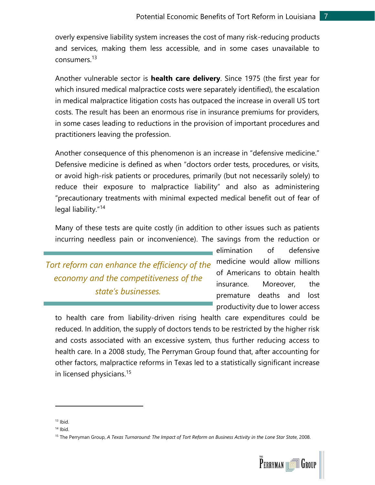overly expensive liability system increases the cost of many risk-reducing products and services, making them less accessible, and in some cases unavailable to consumers.<sup>13</sup>

Another vulnerable sector is **health care delivery**. Since 1975 (the first year for which insured medical malpractice costs were separately identified), the escalation in medical malpractice litigation costs has outpaced the increase in overall US tort costs. The result has been an enormous rise in insurance premiums for providers, in some cases leading to reductions in the provision of important procedures and practitioners leaving the profession.

Another consequence of this phenomenon is an increase in "defensive medicine." Defensive medicine is defined as when "doctors order tests, procedures, or visits, or avoid high-risk patients or procedures, primarily (but not necessarily solely) to reduce their exposure to malpractice liability" and also as administering "precautionary treatments with minimal expected medical benefit out of fear of legal liability."<sup>14</sup>

Many of these tests are quite costly (in addition to other issues such as patients incurring needless pain or inconvenience). The savings from the reduction or

*Tort reform can enhance the efficiency of the economy and the competitiveness of the state's businesses.* 

elimination of defensive medicine would allow millions of Americans to obtain health insurance. Moreover, the premature deaths and lost productivity due to lower access

to health care from liability-driven rising health care expenditures could be reduced. In addition, the supply of doctors tends to be restricted by the higher risk and costs associated with an excessive system, thus further reducing access to health care. In a 2008 study, The Perryman Group found that, after accounting for other factors, malpractice reforms in Texas led to a statistically significant increase in licensed physicians.<sup>15</sup>

<sup>15</sup> The Perryman Group, *A Texas Turnaround: The Impact of Tort Reform on Business Activity in the Lone Star State*, 2008.



 $13$  Ibid.

 $14$  Ibid.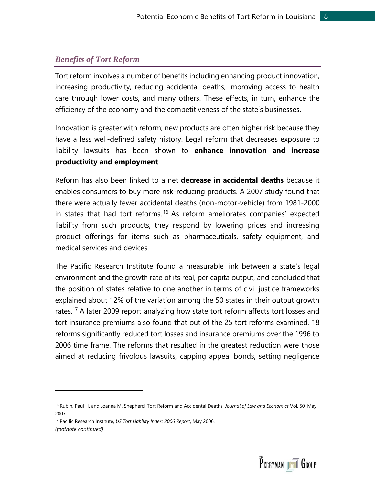#### <span id="page-9-0"></span>*Benefits of Tort Reform*

Tort reform involves a number of benefits including enhancing product innovation, increasing productivity, reducing accidental deaths, improving access to health care through lower costs, and many others. These effects, in turn, enhance the efficiency of the economy and the competitiveness of the state's businesses.

Innovation is greater with reform; new products are often higher risk because they have a less well-defined safety history. Legal reform that decreases exposure to liability lawsuits has been shown to **enhance innovation and increase productivity and employment**.

Reform has also been linked to a net **decrease in accidental deaths** because it enables consumers to buy more risk-reducing products. A 2007 study found that there were actually fewer accidental deaths (non-motor-vehicle) from 1981-2000 in states that had tort reforms.<sup>16</sup> As reform ameliorates companies' expected liability from such products, they respond by lowering prices and increasing product offerings for items such as pharmaceuticals, safety equipment, and medical services and devices.

The Pacific Research Institute found a measurable link between a state's legal environment and the growth rate of its real, per capita output, and concluded that the position of states relative to one another in terms of civil justice frameworks explained about 12% of the variation among the 50 states in their output growth rates.<sup>17</sup> A later 2009 report analyzing how state tort reform affects tort losses and tort insurance premiums also found that out of the 25 tort reforms examined, 18 reforms significantly reduced tort losses and insurance premiums over the 1996 to 2006 time frame. The reforms that resulted in the greatest reduction were those aimed at reducing frivolous lawsuits, capping appeal bonds, setting negligence

<sup>17</sup> Pacific Research Institute, *US Tort Liability Index: 2006 Report*, May 2006. *(footnote continued)*



<sup>16</sup> Rubin, Paul H. and Joanna M. Shepherd, Tort Reform and Accidental Deaths, *Journal of Law and Economics* Vol. 50, May 2007.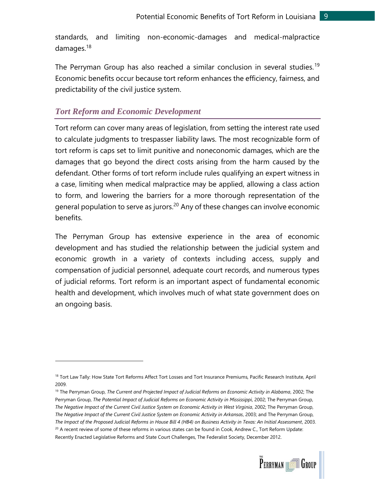standards, and limiting non-economic-damages and medical-malpractice damages.<sup>18</sup>

The Perryman Group has also reached a similar conclusion in several studies.<sup>19</sup> Economic benefits occur because tort reform enhances the efficiency, fairness, and predictability of the civil justice system.

#### <span id="page-10-0"></span>*Tort Reform and Economic Development*

Tort reform can cover many areas of legislation, from setting the interest rate used to calculate judgments to trespasser liability laws. The most recognizable form of tort reform is caps set to limit punitive and noneconomic damages, which are the damages that go beyond the direct costs arising from the harm caused by the defendant. Other forms of tort reform include rules qualifying an expert witness in a case, limiting when medical malpractice may be applied, allowing a class action to form, and lowering the barriers for a more thorough representation of the general population to serve as jurors.<sup>20</sup> Any of these changes can involve economic benefits.

The Perryman Group has extensive experience in the area of economic development and has studied the relationship between the judicial system and economic growth in a variety of contexts including access, supply and compensation of judicial personnel, adequate court records, and numerous types of judicial reforms. Tort reform is an important aspect of fundamental economic health and development, which involves much of what state government does on an ongoing basis.

 $20$  A recent review of some of these reforms in various states can be found in Cook, Andrew C., Tort Reform Update: Recently Enacted Legislative Reforms and State Court Challenges, The Federalist Society, December 2012.



<sup>&</sup>lt;sup>18</sup> Tort Law Tally: How State Tort Reforms Affect Tort Losses and Tort Insurance Premiums, Pacific Research Institute, April 2009.

<sup>19</sup> The Perryman Group, *The Current and Projected Impact of Judicial Reforms on Economic Activity in Alabama*, 2002; The Perryman Group, *The Potential Impact of Judicial Reforms on Economic Activity in Mississippi*, 2002; The Perryman Group, *The Negative Impact of the Current Civil Justice System on Economic Activity in West Virginia*, 2002; The Perryman Group, *The Negative Impact of the Current Civil Justice System on Economic Activity in Arkansas*, 2003; and The Perryman Group, *The Impact of the Proposed Judicial Reforms in House Bill 4 (HB4) on Business Activity in Texas: An Initial Assessment*, 2003.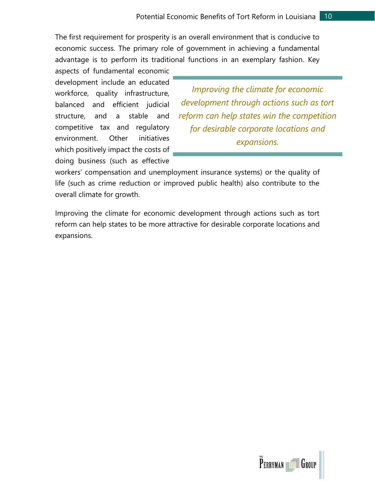The first requirement for prosperity is an overall environment that is conducive to economic success. The primary role of government in achieving a fundamental advantage is to perform its traditional functions in an exemplary fashion. Key

aspects of fundamental economic development include an educated workforce, quality infrastructure, balanced and efficient judicial structure, and a stable and competitive tax and regulatory environment. Other initiatives which positively impact the costs of doing business (such as effective

*Improving the climate for economic development through actions such as tort reform can help states win the competition for desirable corporate locations and expansions.*

workers' compensation and unemployment insurance systems) or the quality of life (such as crime reduction or improved public health) also contribute to the overall climate for growth.

Improving the climate for economic development through actions such as tort reform can help states to be more attractive for desirable corporate locations and expansions.

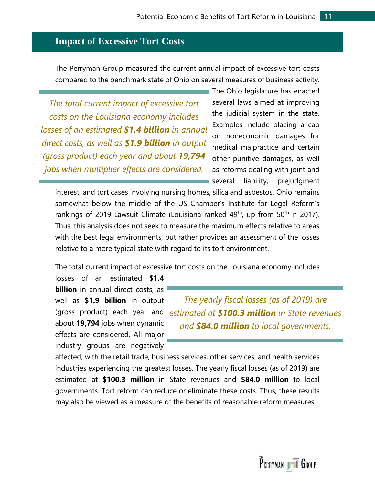#### <span id="page-12-0"></span>**Impact of Excessive Tort Costs**

The Perryman Group measured the current annual impact of excessive tort costs compared to the benchmark state of Ohio on several measures of business activity.

*The total current impact of excessive tort costs on the Louisiana economy includes losses of an estimated \$1.4 billion in annual direct costs, as well as \$1.9 billion in output (gross product) each year and about 19,794 jobs when multiplier effects are considered.*

The Ohio legislature has enacted several laws aimed at improving the judicial system in the state. Examples include placing a cap on noneconomic damages for medical malpractice and certain other punitive damages, as well as reforms dealing with joint and several liability, prejudgment

interest, and tort cases involving nursing homes, silica and asbestos. Ohio remains somewhat below the middle of the US Chamber's Institute for Legal Reform's rankings of 2019 Lawsuit Climate (Louisiana ranked 49<sup>th</sup>, up from 50<sup>th</sup> in 2017). Thus, this analysis does not seek to measure the maximum effects relative to areas with the best legal environments, but rather provides an assessment of the losses relative to a more typical state with regard to its tort environment.

The total current impact of excessive tort costs on the Louisiana economy includes

losses of an estimated **\$1.4 billion** in annual direct costs, as well as **\$1.9 billion** in output about **19,794** jobs when dynamic effects are considered. All major industry groups are negatively

(gross product) each year and *estimated at \$100.3 million in State revenues The yearly fiscal losses (as of 2019) are and \$84.0 million to local governments.* 

affected, with the retail trade, business services, other services, and health services industries experiencing the greatest losses. The yearly fiscal losses (as of 2019) are estimated at **\$100.3 million** in State revenues and **\$84.0 million** to local governments. Tort reform can reduce or eliminate these costs. Thus, these results may also be viewed as a measure of the benefits of reasonable reform measures.

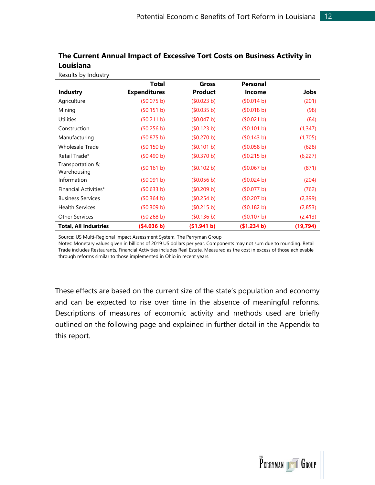|                                 | Total               | Gross       | <b>Personal</b> |             |
|---------------------------------|---------------------|-------------|-----------------|-------------|
| <b>Industry</b>                 | <b>Expenditures</b> | Product     | Income          | <b>Jobs</b> |
| Agriculture                     | (\$0.075 b)         | (50.023 b)  | (50.014 b)      | (201)       |
| Mining                          | (\$0.151 b)         | (\$0.035 b) | (\$0.018 b)     | (98)        |
| <b>Utilities</b>                | (\$0.211 b)         | (50.047 b)  | (\$0.021 b)     | (84)        |
| Construction                    | (\$0.256 b)         | (50.123 b)  | (\$0.101 b)     | (1, 347)    |
| Manufacturing                   | (\$0.875 b)         | (\$0.270 b) | (\$0.143 b)     | (1,705)     |
| <b>Wholesale Trade</b>          | (\$0.150 b)         | (\$0.101 b) | (50.058 b)      | (628)       |
| Retail Trade*                   | (\$0.490 b)         | (\$0.370 b) | (\$0.215 b)     | (6, 227)    |
| Transportation &<br>Warehousing | (\$0.161 b)         | (50.102 b)  | (\$0.067 b)     | (871)       |
| Information                     | (\$0.091 b)         | (\$0.056 b) | (\$0.024 b)     | (204)       |
| Financial Activities*           | (\$0.633 b)         | (50.209 b)  | \$0.077 b)      | (762)       |
| <b>Business Services</b>        | (\$0.364 b)         | (\$0.254 b) | (\$0.207 b)     | (2,399)     |
| <b>Health Services</b>          | (\$0.309 b)         | (50.215 b)  | (\$0.182 b)     | (2,853)     |
| <b>Other Services</b>           | (50.268 b)          | (\$0.136 b) | (\$0.107 b)     | (2, 413)    |
| <b>Total, All Industries</b>    | (\$4.036 b)         | (\$1.941 b) | (\$1.234 b)     | (19, 794)   |

#### **The Current Annual Impact of Excessive Tort Costs on Business Activity in Louisiana**

Source: US Multi-Regional Impact Assessment System, The Perryman Group

Results by Industry

Notes: Monetary values given in billions of 2019 US dollars per year. Components may not sum due to rounding. Retail Trade includes Restaurants, Financial Activities includes Real Estate. Measured as the cost in excess of those achievable through reforms similar to those implemented in Ohio in recent years.

These effects are based on the current size of the state's population and economy and can be expected to rise over time in the absence of meaningful reforms. Descriptions of measures of economic activity and methods used are briefly outlined on the following page and explained in further detail in the Appendix to this report.

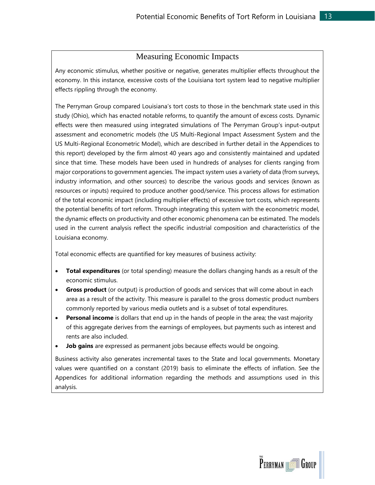#### Measuring Economic Impacts

Any economic stimulus, whether positive or negative, generates multiplier effects throughout the economy. In this instance, excessive costs of the Louisiana tort system lead to negative multiplier effects rippling through the economy.

The Perryman Group compared Louisiana's tort costs to those in the benchmark state used in this study (Ohio), which has enacted notable reforms, to quantify the amount of excess costs. Dynamic effects were then measured using integrated simulations of The Perryman Group's input-output assessment and econometric models (the US Multi-Regional Impact Assessment System and the US Multi-Regional Econometric Model), which are described in further detail in the Appendices to this report) developed by the firm almost 40 years ago and consistently maintained and updated since that time. These models have been used in hundreds of analyses for clients ranging from major corporations to government agencies. The impact system uses a variety of data (from surveys, industry information, and other sources) to describe the various goods and services (known as resources or inputs) required to produce another good/service. This process allows for estimation of the total economic impact (including multiplier effects) of excessive tort costs, which represents the potential benefits of tort reform. Through integrating this system with the econometric model, the dynamic effects on productivity and other economic phenomena can be estimated. The models used in the current analysis reflect the specific industrial composition and characteristics of the Louisiana economy.

Total economic effects are quantified for key measures of business activity:

- **Total expenditures** (or total spending) measure the dollars changing hands as a result of the economic stimulus.
- **Gross product** (or output) is production of goods and services that will come about in each area as a result of the activity. This measure is parallel to the gross domestic product numbers commonly reported by various media outlets and is a subset of total expenditures.
- **Personal income** is dollars that end up in the hands of people in the area; the vast majority of this aggregate derives from the earnings of employees, but payments such as interest and rents are also included.
- **Job gains** are expressed as permanent jobs because effects would be ongoing.

Business activity also generates incremental taxes to the State and local governments. Monetary values were quantified on a constant (2019) basis to eliminate the effects of inflation. See the Appendices for additional information regarding the methods and assumptions used in this analysis.

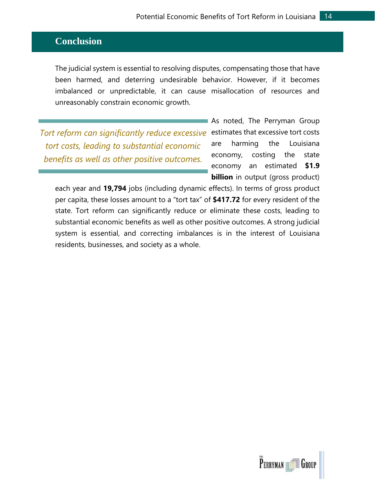#### <span id="page-15-0"></span>**Conclusion**

The judicial system is essential to resolving disputes, compensating those that have been harmed, and deterring undesirable behavior. However, if it becomes imbalanced or unpredictable, it can cause misallocation of resources and unreasonably constrain economic growth.

*Tort reform can significantly reduce excessive tort costs, leading to substantial economic benefits as well as other positive outcomes.*

As noted, The Perryman Group estimates that excessive tort costs are harming the Louisiana economy, costing the state economy an estimated **\$1.9 billion** in output (gross product)

each year and **19,794** jobs (including dynamic effects). In terms of gross product per capita, these losses amount to a "tort tax" of **\$417.72** for every resident of the state. Tort reform can significantly reduce or eliminate these costs, leading to substantial economic benefits as well as other positive outcomes. A strong judicial system is essential, and correcting imbalances is in the interest of Louisiana residents, businesses, and society as a whole.

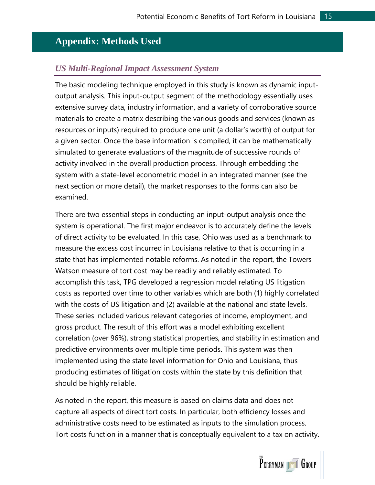#### <span id="page-16-0"></span>**Appendix: Methods Used**

#### <span id="page-16-1"></span>*US Multi-Regional Impact Assessment System*

The basic modeling technique employed in this study is known as dynamic inputoutput analysis. This input-output segment of the methodology essentially uses extensive survey data, industry information, and a variety of corroborative source materials to create a matrix describing the various goods and services (known as resources or inputs) required to produce one unit (a dollar's worth) of output for a given sector. Once the base information is compiled, it can be mathematically simulated to generate evaluations of the magnitude of successive rounds of activity involved in the overall production process. Through embedding the system with a state-level econometric model in an integrated manner (see the next section or more detail), the market responses to the forms can also be examined.

There are two essential steps in conducting an input-output analysis once the system is operational. The first major endeavor is to accurately define the levels of direct activity to be evaluated. In this case, Ohio was used as a benchmark to measure the excess cost incurred in Louisiana relative to that is occurring in a state that has implemented notable reforms. As noted in the report, the Towers Watson measure of tort cost may be readily and reliably estimated. To accomplish this task, TPG developed a regression model relating US litigation costs as reported over time to other variables which are both (1) highly correlated with the costs of US litigation and (2) available at the national and state levels. These series included various relevant categories of income, employment, and gross product. The result of this effort was a model exhibiting excellent correlation (over 96%), strong statistical properties, and stability in estimation and predictive environments over multiple time periods. This system was then implemented using the state level information for Ohio and Louisiana, thus producing estimates of litigation costs within the state by this definition that should be highly reliable.

As noted in the report, this measure is based on claims data and does not capture all aspects of direct tort costs. In particular, both efficiency losses and administrative costs need to be estimated as inputs to the simulation process. Tort costs function in a manner that is conceptually equivalent to a tax on activity.

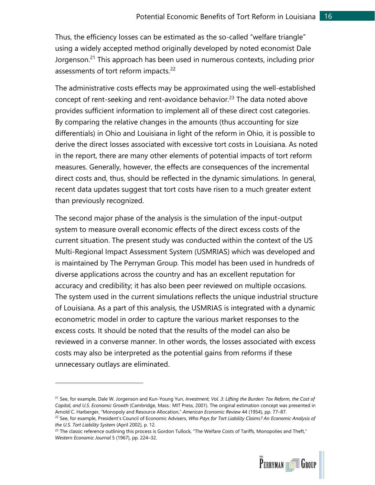Thus, the efficiency losses can be estimated as the so-called "welfare triangle" using a widely accepted method originally developed by noted economist Dale Jorgenson. <sup>21</sup> This approach has been used in numerous contexts, including prior assessments of tort reform impacts.<sup>22</sup>

The administrative costs effects may be approximated using the well-established concept of rent-seeking and rent-avoidance behavior.<sup>23</sup> The data noted above provides sufficient information to implement all of these direct cost categories. By comparing the relative changes in the amounts (thus accounting for size differentials) in Ohio and Louisiana in light of the reform in Ohio, it is possible to derive the direct losses associated with excessive tort costs in Louisiana. As noted in the report, there are many other elements of potential impacts of tort reform measures. Generally, however, the effects are consequences of the incremental direct costs and, thus, should be reflected in the dynamic simulations. In general, recent data updates suggest that tort costs have risen to a much greater extent than previously recognized.

The second major phase of the analysis is the simulation of the input-output system to measure overall economic effects of the direct excess costs of the current situation. The present study was conducted within the context of the US Multi-Regional Impact Assessment System (USMRIAS) which was developed and is maintained by The Perryman Group. This model has been used in hundreds of diverse applications across the country and has an excellent reputation for accuracy and credibility; it has also been peer reviewed on multiple occasions. The system used in the current simulations reflects the unique industrial structure of Louisiana. As a part of this analysis, the USMRIAS is integrated with a dynamic econometric model in order to capture the various market responses to the excess costs. It should be noted that the results of the model can also be reviewed in a converse manner. In other words, the losses associated with excess costs may also be interpreted as the potential gains from reforms if these unnecessary outlays are eliminated.

 $23$  The classic reference outlining this process is Gordon Tullock, "The Welfare Costs of Tariffs, Monopolies and Theft," *Western Economic Journal* 5 (1967), pp. 224–32.



<sup>21</sup> See, for example, Dale W. Jorgenson and Kun-Young Yun, *Investment, Vol. 3: Lifting the Burden: Tax Reform, the Cost of Capital, and U.S. Economic Growth* (Cambridge, Mass.: MIT Press, 2001). The original estimation concept was presented in Arnold C. Harberger, "Monopoly and Resource Allocation," *American Economic Review* 44 (1954), pp. 77–87.

<sup>22</sup> See, for example, President's Council of Economic Advisers, *Who Pays for Tort Liability Claims? An Economic Analysis of the U.S. Tort Liability System* (April 2002), p. 12.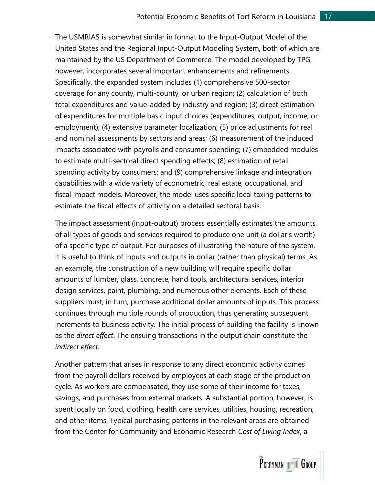The USMRIAS is somewhat similar in format to the Input-Output Model of the United States and the Regional Input-Output Modeling System, both of which are maintained by the US Department of Commerce. The model developed by TPG, however, incorporates several important enhancements and refinements. Specifically, the expanded system includes (1) comprehensive 500-sector coverage for any county, multi-county, or urban region; (2) calculation of both total expenditures and value-added by industry and region; (3) direct estimation of expenditures for multiple basic input choices (expenditures, output, income, or employment); (4) extensive parameter localization; (5) price adjustments for real and nominal assessments by sectors and areas; (6) measurement of the induced impacts associated with payrolls and consumer spending; (7) embedded modules to estimate multi-sectoral direct spending effects; (8) estimation of retail spending activity by consumers; and (9) comprehensive linkage and integration capabilities with a wide variety of econometric, real estate, occupational, and fiscal impact models. Moreover, the model uses specific local taxing patterns to estimate the fiscal effects of activity on a detailed sectoral basis.

The impact assessment (input-output) process essentially estimates the amounts of all types of goods and services required to produce one unit (a dollar's worth) of a specific type of output. For purposes of illustrating the nature of the system, it is useful to think of inputs and outputs in dollar (rather than physical) terms. As an example, the construction of a new building will require specific dollar amounts of lumber, glass, concrete, hand tools, architectural services, interior design services, paint, plumbing, and numerous other elements. Each of these suppliers must, in turn, purchase additional dollar amounts of inputs. This process continues through multiple rounds of production, thus generating subsequent increments to business activity. The initial process of building the facility is known as the *direct effect*. The ensuing transactions in the output chain constitute the *indirect effect*.

Another pattern that arises in response to any direct economic activity comes from the payroll dollars received by employees at each stage of the production cycle. As workers are compensated, they use some of their income for taxes, savings, and purchases from external markets. A substantial portion, however, is spent locally on food, clothing, health care services, utilities, housing, recreation, and other items. Typical purchasing patterns in the relevant areas are obtained from the Center for Community and Economic Research *Cost of Living Index*, a

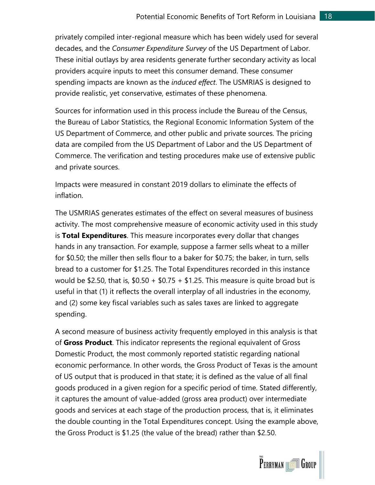privately compiled inter-regional measure which has been widely used for several decades, and the *Consumer Expenditure Survey* of the US Department of Labor. These initial outlays by area residents generate further secondary activity as local providers acquire inputs to meet this consumer demand. These consumer spending impacts are known as the *induced effect*. The USMRIAS is designed to provide realistic, yet conservative, estimates of these phenomena.

Sources for information used in this process include the Bureau of the Census, the Bureau of Labor Statistics, the Regional Economic Information System of the US Department of Commerce, and other public and private sources. The pricing data are compiled from the US Department of Labor and the US Department of Commerce. The verification and testing procedures make use of extensive public and private sources.

Impacts were measured in constant 2019 dollars to eliminate the effects of inflation.

The USMRIAS generates estimates of the effect on several measures of business activity. The most comprehensive measure of economic activity used in this study is **Total Expenditures**. This measure incorporates every dollar that changes hands in any transaction. For example, suppose a farmer sells wheat to a miller for \$0.50; the miller then sells flour to a baker for \$0.75; the baker, in turn, sells bread to a customer for \$1.25. The Total Expenditures recorded in this instance would be \$2.50, that is,  $$0.50 + $0.75 + $1.25$ . This measure is quite broad but is useful in that (1) it reflects the overall interplay of all industries in the economy, and (2) some key fiscal variables such as sales taxes are linked to aggregate spending.

A second measure of business activity frequently employed in this analysis is that of **Gross Product**. This indicator represents the regional equivalent of Gross Domestic Product, the most commonly reported statistic regarding national economic performance. In other words, the Gross Product of Texas is the amount of US output that is produced in that state; it is defined as the value of all final goods produced in a given region for a specific period of time. Stated differently, it captures the amount of value-added (gross area product) over intermediate goods and services at each stage of the production process, that is, it eliminates the double counting in the Total Expenditures concept. Using the example above, the Gross Product is \$1.25 (the value of the bread) rather than \$2.50.

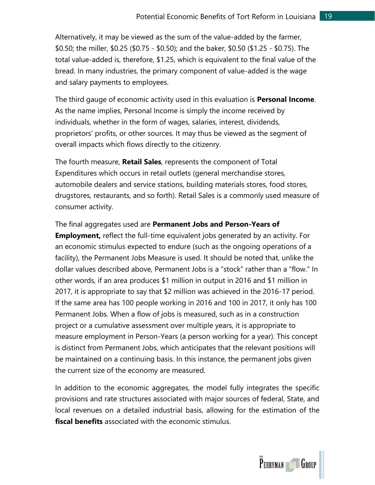Alternatively, it may be viewed as the sum of the value-added by the farmer, \$0.50; the miller, \$0.25 (\$0.75 - \$0.50); and the baker, \$0.50 (\$1.25 - \$0.75). The total value-added is, therefore, \$1.25, which is equivalent to the final value of the bread. In many industries, the primary component of value-added is the wage and salary payments to employees.

The third gauge of economic activity used in this evaluation is **Personal Income**. As the name implies, Personal Income is simply the income received by individuals, whether in the form of wages, salaries, interest, dividends, proprietors' profits, or other sources. It may thus be viewed as the segment of overall impacts which flows directly to the citizenry.

The fourth measure, **Retail Sales**, represents the component of Total Expenditures which occurs in retail outlets (general merchandise stores, automobile dealers and service stations, building materials stores, food stores, drugstores, restaurants, and so forth). Retail Sales is a commonly used measure of consumer activity.

The final aggregates used are **Permanent Jobs and Person-Years of Employment,** reflect the full-time equivalent jobs generated by an activity. For an economic stimulus expected to endure (such as the ongoing operations of a facility), the Permanent Jobs Measure is used. It should be noted that, unlike the dollar values described above, Permanent Jobs is a "stock" rather than a "flow." In other words, if an area produces \$1 million in output in 2016 and \$1 million in 2017, it is appropriate to say that \$2 million was achieved in the 2016-17 period. If the same area has 100 people working in 2016 and 100 in 2017, it only has 100 Permanent Jobs. When a flow of jobs is measured, such as in a construction project or a cumulative assessment over multiple years, it is appropriate to measure employment in Person-Years (a person working for a year). This concept is distinct from Permanent Jobs, which anticipates that the relevant positions will be maintained on a continuing basis. In this instance, the permanent jobs given the current size of the economy are measured.

In addition to the economic aggregates, the model fully integrates the specific provisions and rate structures associated with major sources of federal, State, and local revenues on a detailed industrial basis, allowing for the estimation of the **fiscal benefits** associated with the economic stimulus.

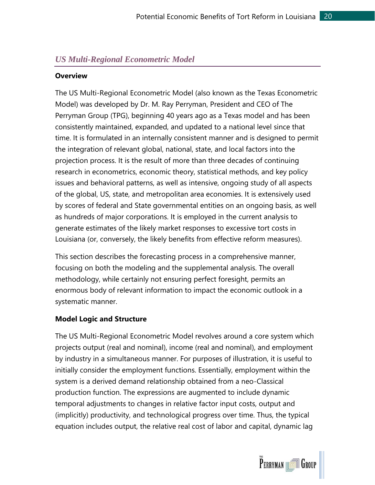#### <span id="page-21-0"></span>*US Multi-Regional Econometric Model*

#### **Overview**

The US Multi-Regional Econometric Model (also known as the Texas Econometric Model) was developed by Dr. M. Ray Perryman, President and CEO of The Perryman Group (TPG), beginning 40 years ago as a Texas model and has been consistently maintained, expanded, and updated to a national level since that time. It is formulated in an internally consistent manner and is designed to permit the integration of relevant global, national, state, and local factors into the projection process. It is the result of more than three decades of continuing research in econometrics, economic theory, statistical methods, and key policy issues and behavioral patterns, as well as intensive, ongoing study of all aspects of the global, US, state, and metropolitan area economies. It is extensively used by scores of federal and State governmental entities on an ongoing basis, as well as hundreds of major corporations. It is employed in the current analysis to generate estimates of the likely market responses to excessive tort costs in Louisiana (or, conversely, the likely benefits from effective reform measures).

This section describes the forecasting process in a comprehensive manner, focusing on both the modeling and the supplemental analysis. The overall methodology, while certainly not ensuring perfect foresight, permits an enormous body of relevant information to impact the economic outlook in a systematic manner.

#### **Model Logic and Structure**

The US Multi-Regional Econometric Model revolves around a core system which projects output (real and nominal), income (real and nominal), and employment by industry in a simultaneous manner. For purposes of illustration, it is useful to initially consider the employment functions. Essentially, employment within the system is a derived demand relationship obtained from a neo-Classical production function. The expressions are augmented to include dynamic temporal adjustments to changes in relative factor input costs, output and (implicitly) productivity, and technological progress over time. Thus, the typical equation includes output, the relative real cost of labor and capital, dynamic lag

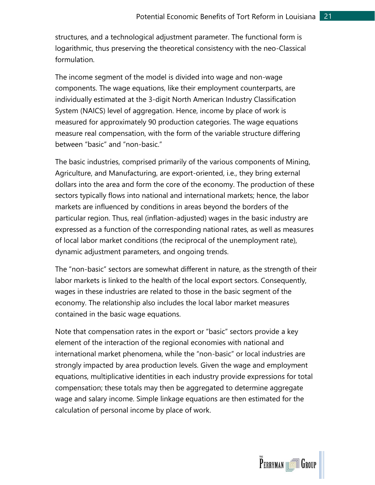structures, and a technological adjustment parameter. The functional form is logarithmic, thus preserving the theoretical consistency with the neo-Classical formulation.

The income segment of the model is divided into wage and non-wage components. The wage equations, like their employment counterparts, are individually estimated at the 3-digit North American Industry Classification System (NAICS) level of aggregation. Hence, income by place of work is measured for approximately 90 production categories. The wage equations measure real compensation, with the form of the variable structure differing between "basic" and "non-basic."

The basic industries, comprised primarily of the various components of Mining, Agriculture, and Manufacturing, are export-oriented, i.e., they bring external dollars into the area and form the core of the economy. The production of these sectors typically flows into national and international markets; hence, the labor markets are influenced by conditions in areas beyond the borders of the particular region. Thus, real (inflation-adjusted) wages in the basic industry are expressed as a function of the corresponding national rates, as well as measures of local labor market conditions (the reciprocal of the unemployment rate), dynamic adjustment parameters, and ongoing trends.

The "non-basic" sectors are somewhat different in nature, as the strength of their labor markets is linked to the health of the local export sectors. Consequently, wages in these industries are related to those in the basic segment of the economy. The relationship also includes the local labor market measures contained in the basic wage equations.

Note that compensation rates in the export or "basic" sectors provide a key element of the interaction of the regional economies with national and international market phenomena, while the "non-basic" or local industries are strongly impacted by area production levels. Given the wage and employment equations, multiplicative identities in each industry provide expressions for total compensation; these totals may then be aggregated to determine aggregate wage and salary income. Simple linkage equations are then estimated for the calculation of personal income by place of work.

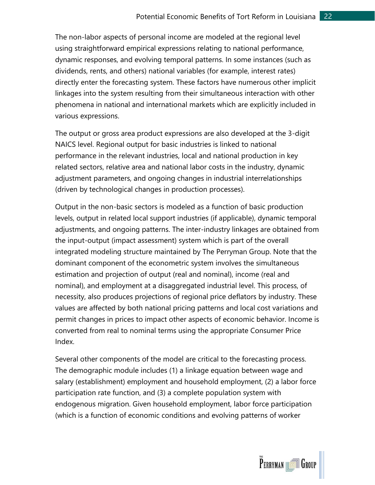The non-labor aspects of personal income are modeled at the regional level using straightforward empirical expressions relating to national performance, dynamic responses, and evolving temporal patterns. In some instances (such as dividends, rents, and others) national variables (for example, interest rates) directly enter the forecasting system. These factors have numerous other implicit linkages into the system resulting from their simultaneous interaction with other phenomena in national and international markets which are explicitly included in various expressions.

The output or gross area product expressions are also developed at the 3-digit NAICS level. Regional output for basic industries is linked to national performance in the relevant industries, local and national production in key related sectors, relative area and national labor costs in the industry, dynamic adjustment parameters, and ongoing changes in industrial interrelationships (driven by technological changes in production processes).

Output in the non-basic sectors is modeled as a function of basic production levels, output in related local support industries (if applicable), dynamic temporal adjustments, and ongoing patterns. The inter-industry linkages are obtained from the input-output (impact assessment) system which is part of the overall integrated modeling structure maintained by The Perryman Group. Note that the dominant component of the econometric system involves the simultaneous estimation and projection of output (real and nominal), income (real and nominal), and employment at a disaggregated industrial level. This process, of necessity, also produces projections of regional price deflators by industry. These values are affected by both national pricing patterns and local cost variations and permit changes in prices to impact other aspects of economic behavior. Income is converted from real to nominal terms using the appropriate Consumer Price Index.

Several other components of the model are critical to the forecasting process. The demographic module includes (1) a linkage equation between wage and salary (establishment) employment and household employment, (2) a labor force participation rate function, and (3) a complete population system with endogenous migration. Given household employment, labor force participation (which is a function of economic conditions and evolving patterns of worker

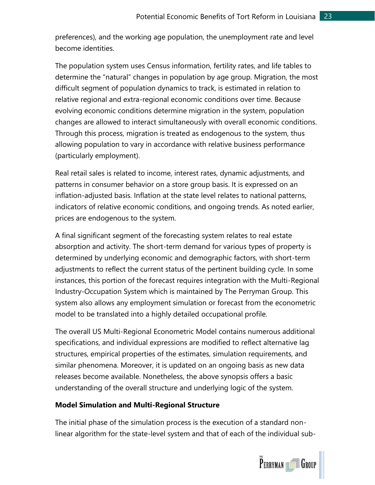preferences), and the working age population, the unemployment rate and level become identities.

The population system uses Census information, fertility rates, and life tables to determine the "natural" changes in population by age group. Migration, the most difficult segment of population dynamics to track, is estimated in relation to relative regional and extra-regional economic conditions over time. Because evolving economic conditions determine migration in the system, population changes are allowed to interact simultaneously with overall economic conditions. Through this process, migration is treated as endogenous to the system, thus allowing population to vary in accordance with relative business performance (particularly employment).

Real retail sales is related to income, interest rates, dynamic adjustments, and patterns in consumer behavior on a store group basis. It is expressed on an inflation-adjusted basis. Inflation at the state level relates to national patterns, indicators of relative economic conditions, and ongoing trends. As noted earlier, prices are endogenous to the system.

A final significant segment of the forecasting system relates to real estate absorption and activity. The short-term demand for various types of property is determined by underlying economic and demographic factors, with short-term adjustments to reflect the current status of the pertinent building cycle. In some instances, this portion of the forecast requires integration with the Multi-Regional Industry-Occupation System which is maintained by The Perryman Group. This system also allows any employment simulation or forecast from the econometric model to be translated into a highly detailed occupational profile.

The overall US Multi-Regional Econometric Model contains numerous additional specifications, and individual expressions are modified to reflect alternative lag structures, empirical properties of the estimates, simulation requirements, and similar phenomena. Moreover, it is updated on an ongoing basis as new data releases become available. Nonetheless, the above synopsis offers a basic understanding of the overall structure and underlying logic of the system.

#### **Model Simulation and Multi-Regional Structure**

The initial phase of the simulation process is the execution of a standard nonlinear algorithm for the state-level system and that of each of the individual sub-

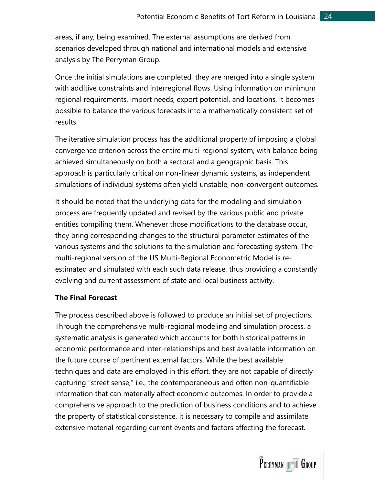areas, if any, being examined. The external assumptions are derived from scenarios developed through national and international models and extensive analysis by The Perryman Group.

Once the initial simulations are completed, they are merged into a single system with additive constraints and interregional flows. Using information on minimum regional requirements, import needs, export potential, and locations, it becomes possible to balance the various forecasts into a mathematically consistent set of results.

The iterative simulation process has the additional property of imposing a global convergence criterion across the entire multi-regional system, with balance being achieved simultaneously on both a sectoral and a geographic basis. This approach is particularly critical on non-linear dynamic systems, as independent simulations of individual systems often yield unstable, non-convergent outcomes.

It should be noted that the underlying data for the modeling and simulation process are frequently updated and revised by the various public and private entities compiling them. Whenever those modifications to the database occur, they bring corresponding changes to the structural parameter estimates of the various systems and the solutions to the simulation and forecasting system. The multi-regional version of the US Multi-Regional Econometric Model is reestimated and simulated with each such data release, thus providing a constantly evolving and current assessment of state and local business activity.

#### **The Final Forecast**

The process described above is followed to produce an initial set of projections. Through the comprehensive multi-regional modeling and simulation process, a systematic analysis is generated which accounts for both historical patterns in economic performance and inter-relationships and best available information on the future course of pertinent external factors. While the best available techniques and data are employed in this effort, they are not capable of directly capturing "street sense," i.e., the contemporaneous and often non-quantifiable information that can materially affect economic outcomes. In order to provide a comprehensive approach to the prediction of business conditions and to achieve the property of statistical consistence, it is necessary to compile and assimilate extensive material regarding current events and factors affecting the forecast.